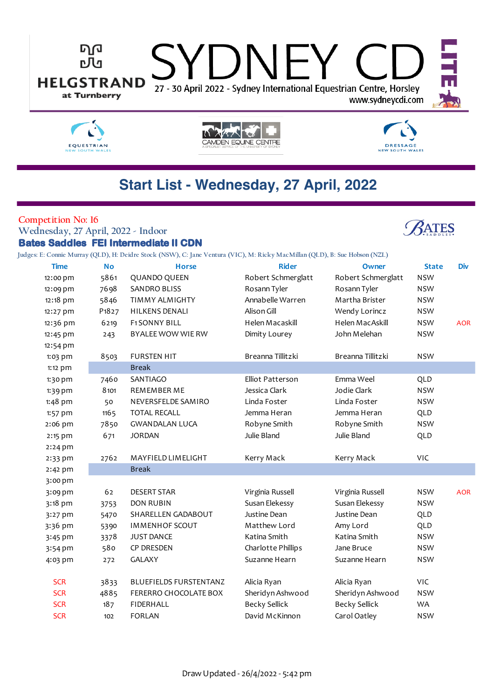



CAMDEN EQUINE CENTRE

# **DRESSAGE** NEW SOUTH WALES

**ATES** 

# **Start List - Wednesday, 27 April, 2022**

### **Competition No: 16**

**Wednesday, 27 April, 2022 - Indoor Bates Saddles FEI Intermediate II CDN**

**Judges: E: Connie Murray (QLD), H: Deidre Stock (NSW), C: Jane Ventura (VIC), M: Ricky MacMillan (QLD), B: Sue Hobson (NZL)**

| <b>Time</b> | <b>No</b>                      | <b>Horse</b>                  | <b>Rider</b>         | Owner                | <b>State</b> | <b>Div</b> |
|-------------|--------------------------------|-------------------------------|----------------------|----------------------|--------------|------------|
| 12:00 pm    | 5861                           | <b>QUANDO QUEEN</b>           | Robert Schmerglatt   | Robert Schmerglatt   | <b>NSW</b>   |            |
| 12:09 pm    | 7698                           | <b>SANDRO BLISS</b>           | Rosann Tyler         | Rosann Tyler         | <b>NSW</b>   |            |
| 12:18 pm    | 5846                           | <b>TIMMY ALMIGHTY</b>         | Annabelle Warren     | Martha Brister       | <b>NSW</b>   |            |
| 12:27 pm    | P <sub>1</sub> 8 <sub>27</sub> | <b>HILKENS DENALI</b>         | Alison Gill          | Wendy Lorincz        | <b>NSW</b>   |            |
| 12:36 pm    | 6219                           | <b>F1SONNY BILL</b>           | Helen Macaskill      | Helen MacAskill      | <b>NSW</b>   | <b>AOR</b> |
| 12:45 pm    | 243                            | BYALEE WOW WIE RW             | Dimity Lourey        | John Melehan         | <b>NSW</b>   |            |
| 12:54 pm    |                                |                               |                      |                      |              |            |
| 1:03 pm     | 8503                           | <b>FURSTEN HIT</b>            | Breanna Tillitzki    | Breanna Tillitzki    | <b>NSW</b>   |            |
| 1:12 pm     |                                | <b>Break</b>                  |                      |                      |              |            |
| 1:30 pm     | 7460                           | SANTIAGO                      | Elliot Patterson     | Emma Weel            | <b>QLD</b>   |            |
| $1:39$ pm   | 8101                           | REMEMBER ME                   | Jessica Clark        | Jodie Clark          | <b>NSW</b>   |            |
| 1:48 pm     | 50                             | NEVERSFELDE SAMIRO            | Linda Foster         | Linda Foster         | <b>NSW</b>   |            |
| $1:57$ pm   | 1165                           | <b>TOTAL RECALL</b>           | Jemma Heran          | Jemma Heran          | QLD          |            |
| 2:06 pm     | 7850                           | <b>GWANDALAN LUCA</b>         | Robyne Smith         | Robyne Smith         | <b>NSW</b>   |            |
| 2:15 pm     | 671                            | <b>JORDAN</b>                 | Julie Bland          | Julie Bland          | <b>QLD</b>   |            |
| 2:24 pm     |                                |                               |                      |                      |              |            |
| 2:33 pm     | 2762                           | MAYFIELD LIMELIGHT            | Kerry Mack           | Kerry Mack           | VIC          |            |
| 2:42 pm     |                                | <b>Break</b>                  |                      |                      |              |            |
| 3:00 pm     |                                |                               |                      |                      |              |            |
| 3:09 pm     | 62                             | <b>DESERT STAR</b>            | Virginia Russell     | Virginia Russell     | <b>NSW</b>   | <b>AOR</b> |
| 3:18 pm     | 3753                           | <b>DON RUBIN</b>              | Susan Elekessy       | Susan Elekessy       | <b>NSW</b>   |            |
| 3:27 pm     | 5470                           | SHARELLEN GADABOUT            | Justine Dean         | Justine Dean         | QLD          |            |
| 3:36 pm     | 5390                           | <b>IMMENHOF SCOUT</b>         | Matthew Lord         | Amy Lord             | <b>QLD</b>   |            |
| 3:45 pm     | 3378                           | <b>JUST DANCE</b>             | Katina Smith         | Katina Smith         | <b>NSW</b>   |            |
| 3:54 pm     | 580                            | <b>CP DRESDEN</b>             | Charlotte Phillips   | Jane Bruce           | <b>NSW</b>   |            |
| 4:03 pm     | 272                            | <b>GALAXY</b>                 | Suzanne Hearn        | Suzanne Hearn        | <b>NSW</b>   |            |
|             |                                |                               |                      |                      |              |            |
| <b>SCR</b>  | 3833                           | <b>BLUEFIELDS FURSTENTANZ</b> | Alicia Ryan          | Alicia Ryan          | VIC          |            |
| <b>SCR</b>  | 4885                           | FERERRO CHOCOLATE BOX         | Sheridyn Ashwood     | Sheridyn Ashwood     | <b>NSW</b>   |            |
| <b>SCR</b>  | 187                            | <b>FIDERHALL</b>              | <b>Becky Sellick</b> | <b>Becky Sellick</b> | <b>WA</b>    |            |
| <b>SCR</b>  | 102                            | <b>FORLAN</b>                 | David McKinnon       | Carol Oatley         | <b>NSW</b>   |            |